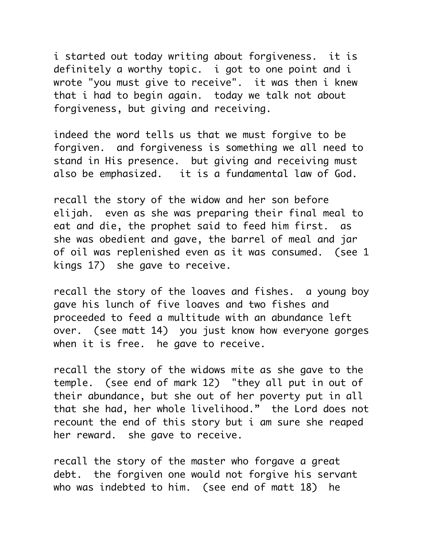i started out today writing about forgiveness. it is definitely a worthy topic. i got to one point and i wrote "you must give to receive". it was then i knew that i had to begin again. today we talk not about forgiveness, but giving and receiving.

indeed the word tells us that we must forgive to be forgiven. and forgiveness is something we all need to stand in His presence. but giving and receiving must also be emphasized. it is a fundamental law of God.

recall the story of the widow and her son before elijah. even as she was preparing their final meal to eat and die, the prophet said to feed him first. as she was obedient and gave, the barrel of meal and jar of oil was replenished even as it was consumed. (see 1 kings 17) she gave to receive.

recall the story of the loaves and fishes. a young boy gave his lunch of five loaves and two fishes and proceeded to feed a multitude with an abundance left over. (see matt 14) you just know how everyone gorges when it is free. he gave to receive.

recall the story of the widows mite as she gave to the temple. (see end of mark 12) "they all put in out of their abundance, but she out of her poverty put in all that she had, her whole livelihood." the Lord does not recount the end of this story but i am sure she reaped her reward. she gave to receive.

recall the story of the master who forgave a great debt. the forgiven one would not forgive his servant who was indebted to him. (see end of matt 18) he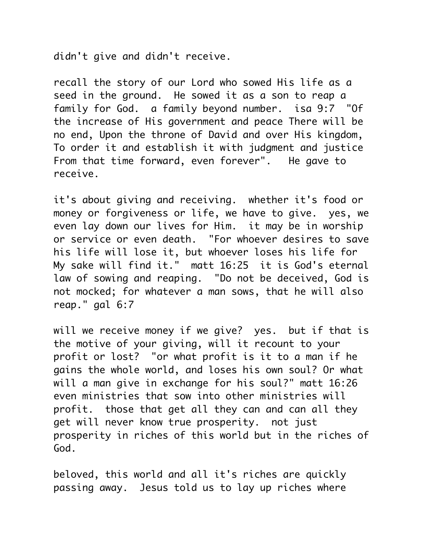didn't give and didn't receive.

recall the story of our Lord who sowed His life as a seed in the ground. He sowed it as a son to reap a family for God. a family beyond number. isa 9:7 "Of the increase of His government and peace There will be no end, Upon the throne of David and over His kingdom, To order it and establish it with judgment and justice From that time forward, even forever". He gave to receive.

it's about giving and receiving. whether it's food or money or forgiveness or life, we have to give. yes, we even lay down our lives for Him. it may be in worship or service or even death. "For whoever desires to save his life will lose it, but whoever loses his life for My sake will find it." matt 16:25 it is God's eternal law of sowing and reaping. "Do not be deceived, God is not mocked; for whatever a man sows, that he will also reap." gal 6:7

will we receive money if we give? yes. but if that is the motive of your giving, will it recount to your profit or lost? "or what profit is it to a man if he gains the whole world, and loses his own soul? Or what will a man give in exchange for his soul?" matt 16:26 even ministries that sow into other ministries will profit. those that get all they can and can all they get will never know true prosperity. not just prosperity in riches of this world but in the riches of God.

beloved, this world and all it's riches are quickly passing away. Jesus told us to lay up riches where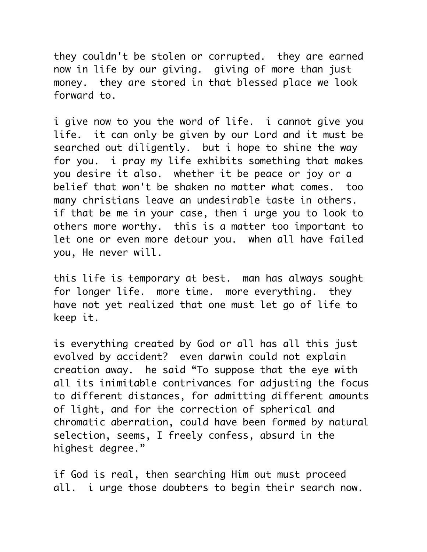they couldn't be stolen or corrupted. they are earned now in life by our giving. giving of more than just money. they are stored in that blessed place we look forward to.

i give now to you the word of life. i cannot give you life. it can only be given by our Lord and it must be searched out diligently. but i hope to shine the way for you. i pray my life exhibits something that makes you desire it also. whether it be peace or joy or a belief that won't be shaken no matter what comes. too many christians leave an undesirable taste in others. if that be me in your case, then i urge you to look to others more worthy. this is a matter too important to let one or even more detour you. when all have failed you, He never will.

this life is temporary at best. man has always sought for longer life. more time. more everything. they have not yet realized that one must let go of life to keep it.

is everything created by God or all has all this just evolved by accident? even darwin could not explain creation away. he said "To suppose that the eye with all its inimitable contrivances for adjusting the focus to different distances, for admitting different amounts of light, and for the correction of spherical and chromatic aberration, could have been formed by natural selection, seems, I freely confess, absurd in the highest degree."

if God is real, then searching Him out must proceed all. i urge those doubters to begin their search now.